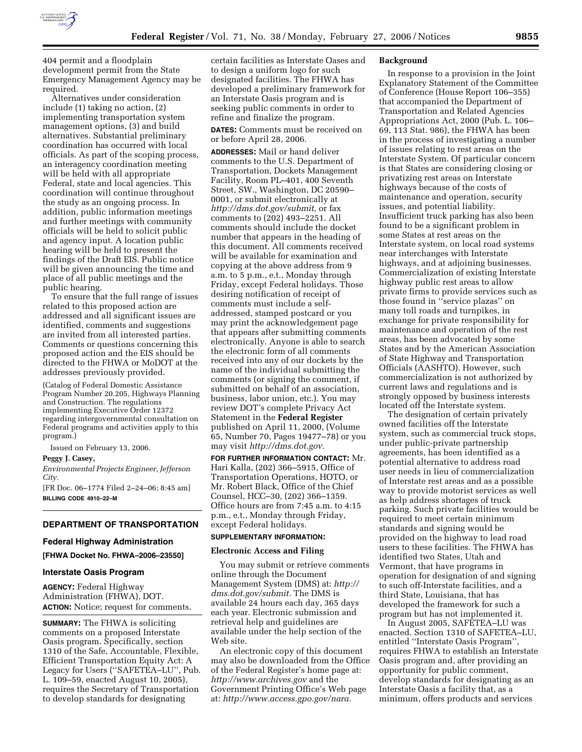

404 permit and a floodplain development permit from the State Emergency Management Agency may be required.

Alternatives under consideration include (1) taking no action, (2) implementing transportation system management options, (3) and build alternatives. Substantial preliminary coordination has occurred with local officials. As part of the scoping process, an interagency coordination meeting will be held with all appropriate Federal, state and local agencies. This coordination will continue throughout the study as an ongoing process. In addition, public information meetings and further meetings with community officials will be held to solicit public and agency input. A location public hearing will be held to present the findings of the Draft EIS. Public notice will be given announcing the time and place of all public meetings and the public hearing.

To ensure that the full range of issues related to this proposed action are addressed and all significant issues are identified, comments and suggestions are invited from all interested parties. Comments or questions concerning this proposed action and the EIS should be directed to the FHWA or MoDOT at the addresses previously provided.

(Catalog of Federal Domestic Assistance Program Number 20.205, Highways Planning and Construction. The regulations implementing Executive Order 12372 regarding intergovernmental consultation on Federal programs and activities apply to this program.)

Issued on February 13, 2006.

#### **Peggy J. Casey,**

*Environmental Projects Engineer, Jefferson City.* 

[FR Doc. 06–1774 Filed 2–24–06; 8:45 am] **BILLING CODE 4910–22–M** 

# **DEPARTMENT OF TRANSPORTATION**

# **Federal Highway Administration**

**[FHWA Docket No. FHWA–2006–23550]** 

#### **Interstate Oasis Program**

**AGENCY:** Federal Highway Administration (FHWA), DOT. **ACTION:** Notice; request for comments.

**SUMMARY:** The FHWA is soliciting comments on a proposed Interstate Oasis program. Specifically, section 1310 of the Safe, Accountable, Flexible, Efficient Transportation Equity Act: A Legacy for Users (''SAFETEA–LU'', Pub. L. 109–59, enacted August 10, 2005), requires the Secretary of Transportation to develop standards for designating

certain facilities as Interstate Oases and to design a uniform logo for such designated facilities. The FHWA has developed a preliminary framework for an Interstate Oasis program and is seeking public comments in order to refine and finalize the program.

**DATES:** Comments must be received on or before April 28, 2006.

**ADDRESSES:** Mail or hand deliver comments to the U.S. Department of Transportation, Dockets Management Facility, Room PL–401, 400 Seventh Street, SW., Washington, DC 20590– 0001, or submit electronically at *http://dms.dot.gov/submit,* or fax comments to (202) 493–2251. All comments should include the docket number that appears in the heading of this document. All comments received will be available for examination and copying at the above address from 9 a.m. to 5 p.m., e.t., Monday through Friday, except Federal holidays. Those desiring notification of receipt of comments must include a selfaddressed, stamped postcard or you may print the acknowledgement page that appears after submitting comments electronically. Anyone is able to search the electronic form of all comments received into any of our dockets by the name of the individual submitting the comments (or signing the comment, if submitted on behalf of an association, business, labor union, etc.). You may review DOT's complete Privacy Act Statement in the **Federal Register**  published on April 11, 2000, (Volume 65, Number 70, Pages 19477–78) or you may visit *http://dms.dot.gov.* 

**FOR FURTHER INFORMATION CONTACT:** Mr. Hari Kalla, (202) 366–5915, Office of Transportation Operations, HOTO, or Mr. Robert Black, Office of the Chief Counsel, HCC–30, (202) 366–1359. Office hours are from 7:45 a.m. to 4:15 p.m., e.t., Monday through Friday, except Federal holidays.

# **SUPPLEMENTARY INFORMATION:**

#### **Electronic Access and Filing**

You may submit or retrieve comments online through the Document Management System (DMS) at: *http:// dms.dot.gov/submit.* The DMS is available 24 hours each day, 365 days each year. Electronic submission and retrieval help and guidelines are available under the help section of the Web site.

An electronic copy of this document may also be downloaded from the Office of the Federal Register's home page at: *http://www.archives.gov* and the Government Printing Office's Web page at: *http://www.access.gpo.gov/nara.* 

#### **Background**

In response to a provision in the Joint Explanatory Statement of the Committee of Conference (House Report 106–355) that accompanied the Department of Transportation and Related Agencies Appropriations Act, 2000 (Pub. L. 106– 69, 113 Stat. 986), the FHWA has been in the process of investigating a number of issues relating to rest areas on the Interstate System. Of particular concern is that States are considering closing or privatizing rest areas on Interstate highways because of the costs of maintenance and operation, security issues, and potential liability. Insufficient truck parking has also been found to be a significant problem in some States at rest areas on the Interstate system, on local road systems near interchanges with Interstate highways, and at adjoining businesses. Commercialization of existing Interstate highway public rest areas to allow private firms to provide services such as those found in ''service plazas'' on many toll roads and turnpikes, in exchange for private responsibility for maintenance and operation of the rest areas, has been advocated by some States and by the American Association of State Highway and Transportation Officials (AASHTO). However, such commercialization is not authorized by current laws and regulations and is strongly opposed by business interests located off the Interstate system.

The designation of certain privately owned facilities off the Interstate system, such as commercial truck stops, under public-private partnership agreements, has been identified as a potential alternative to address road user needs in lieu of commercialization of Interstate rest areas and as a possible way to provide motorist services as well as help address shortages of truck parking. Such private facilities would be required to meet certain minimum standards and signing would be provided on the highway to lead road users to these facilities. The FHWA has identified two States, Utah and Vermont, that have programs in operation for designation of and signing to such off-Interstate facilities, and a third State, Louisiana, that has developed the framework for such a program but has not implemented it.

In August 2005, SAFETEA–LU was enacted. Section 1310 of SAFETEA–LU, entitled ''Interstate Oasis Program'', requires FHWA to establish an Interstate Oasis program and, after providing an opportunity for public comment, develop standards for designating as an Interstate Oasis a facility that, as a minimum, offers products and services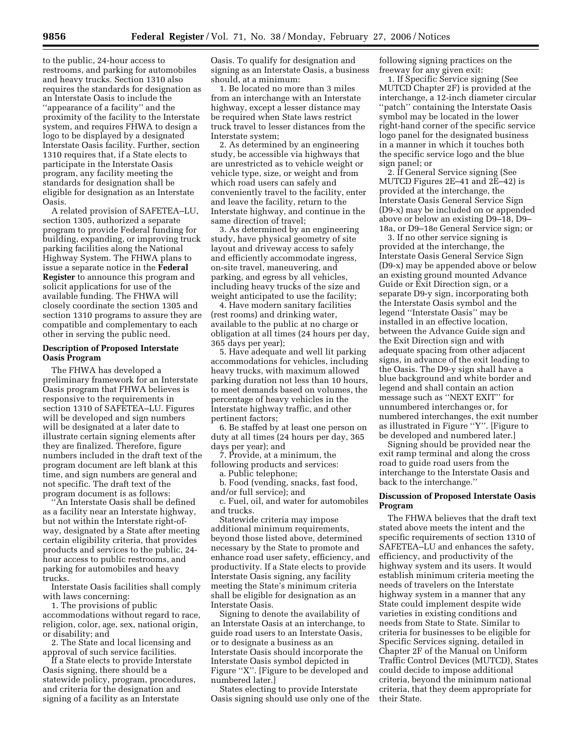to the public, 24-hour access to restrooms, and parking for automobiles and heavy trucks. Section 1310 also requires the standards for designation as an Interstate Oasis to include the ''appearance of a facility'' and the proximity of the facility to the Interstate system, and requires FHWA to design a logo to be displayed by a designated Interstate Oasis facility. Further, section 1310 requires that, if a State elects to participate in the Interstate Oasis program, any facility meeting the standards for designation shall be eligible for designation as an Interstate Oasis.

A related provision of SAFETEA–LU, section 1305, authorized a separate program to provide Federal funding for building, expanding, or improving truck parking facilities along the National Highway System. The FHWA plans to issue a separate notice in the **Federal Register** to announce this program and solicit applications for use of the available funding. The FHWA will closely coordinate the section 1305 and section 1310 programs to assure they are compatible and complementary to each other in serving the public need.

#### **Description of Proposed Interstate Oasis Program**

The FHWA has developed a preliminary framework for an Interstate Oasis program that FHWA believes is responsive to the requirements in section 1310 of SAFETEA–LU. Figures will be developed and sign numbers will be designated at a later date to illustrate certain signing elements after they are finalized. Therefore, figure numbers included in the draft text of the program document are left blank at this time, and sign numbers are general and not specific. The draft text of the program document is as follows:

''An Interstate Oasis shall be defined as a facility near an Interstate highway, but not within the Interstate right-ofway, designated by a State after meeting certain eligibility criteria, that provides products and services to the public, 24 hour access to public restrooms, and parking for automobiles and heavy trucks.

Interstate Oasis facilities shall comply with laws concerning:

1. The provisions of public accommodations without regard to race, religion, color, age, sex, national origin, or disability; and

2. The State and local licensing and approval of such service facilities.

If a State elects to provide Interstate Oasis signing, there should be a statewide policy, program, procedures, and criteria for the designation and signing of a facility as an Interstate

Oasis. To qualify for designation and signing as an Interstate Oasis, a business should, at a minimum:

1. Be located no more than 3 miles from an interchange with an Interstate highway, except a lesser distance may be required when State laws restrict truck travel to lesser distances from the Interstate system;

2. As determined by an engineering study, be accessible via highways that are unrestricted as to vehicle weight or vehicle type, size, or weight and from which road users can safely and conveniently travel to the facility, enter and leave the facility, return to the Interstate highway, and continue in the same direction of travel;

3. As determined by an engineering study, have physical geometry of site layout and driveway access to safely and efficiently accommodate ingress, on-site travel, maneuvering, and parking, and egress by all vehicles, including heavy trucks of the size and weight anticipated to use the facility;

4. Have modern sanitary facilities (rest rooms) and drinking water, available to the public at no charge or obligation at all times (24 hours per day, 365 days per year);

5. Have adequate and well lit parking accommodations for vehicles, including heavy trucks, with maximum allowed parking duration not less than 10 hours, to meet demands based on volumes, the percentage of heavy vehicles in the Interstate highway traffic, and other pertinent factors;

6. Be staffed by at least one person on duty at all times (24 hours per day, 365 days per year); and

7. Provide, at a minimum, the following products and services: a. Public telephone;

b. Food (vending, snacks, fast food, and/or full service); and

c. Fuel, oil, and water for automobiles and trucks.

Statewide criteria may impose additional minimum requirements, beyond those listed above, determined necessary by the State to promote and enhance road user safety, efficiency, and productivity. If a State elects to provide Interstate Oasis signing, any facility meeting the State's minimum criteria shall be eligible for designation as an Interstate Oasis.

Signing to denote the availability of an Interstate Oasis at an interchange, to guide road users to an Interstate Oasis, or to designate a business as an Interstate Oasis should incorporate the Interstate Oasis symbol depicted in Figure ''X''. [Figure to be developed and numbered later.]

States electing to provide Interstate Oasis signing should use only one of the following signing practices on the freeway for any given exit:

1. If Specific Service signing (See MUTCD Chapter 2F) is provided at the interchange, a 12-inch diameter circular ''patch'' containing the Interstate Oasis symbol may be located in the lower right-hand corner of the specific service logo panel for the designated business in a manner in which it touches both the specific service logo and the blue sign panel; or

2. If General Service signing (See MUTCD Figures 2E–41 and 2E–42) is provided at the interchange, the Interstate Oasis General Service Sign (D9-x) may be included on or appended above or below an existing D9–18, D9– 18a, or D9–18e General Service sign; or

3. If no other service signing is provided at the interchange, the Interstate Oasis General Service Sign (D9-x) may be appended above or below an existing ground mounted Advance Guide or Exit Direction sign, or a separate D9-y sign, incorporating both the Interstate Oasis symbol and the legend ''Interstate Oasis'' may be installed in an effective location, between the Advance Guide sign and the Exit Direction sign and with adequate spacing from other adjacent signs, in advance of the exit leading to the Oasis. The D9-y sign shall have a blue background and white border and legend and shall contain an action message such as ''NEXT EXIT'' for unnumbered interchanges or, for numbered interchanges, the exit number as illustrated in Figure ''Y''. [Figure to be developed and numbered later.]

Signing should be provided near the exit ramp terminal and along the cross road to guide road users from the interchange to the Interstate Oasis and back to the interchange.''

# **Discussion of Proposed Interstate Oasis Program**

The FHWA believes that the draft text stated above meets the intent and the specific requirements of section 1310 of SAFETEA–LU and enhances the safety, efficiency, and productivity of the highway system and its users. It would establish minimum criteria meeting the needs of travelers on the Interstate highway system in a manner that any State could implement despite wide varieties in existing conditions and needs from State to State. Similar to criteria for businesses to be eligible for Specific Services signing, detailed in Chapter 2F of the Manual on Uniform Traffic Control Devices (MUTCD), States could decide to impose additional criteria, beyond the minimum national criteria, that they deem appropriate for their State.